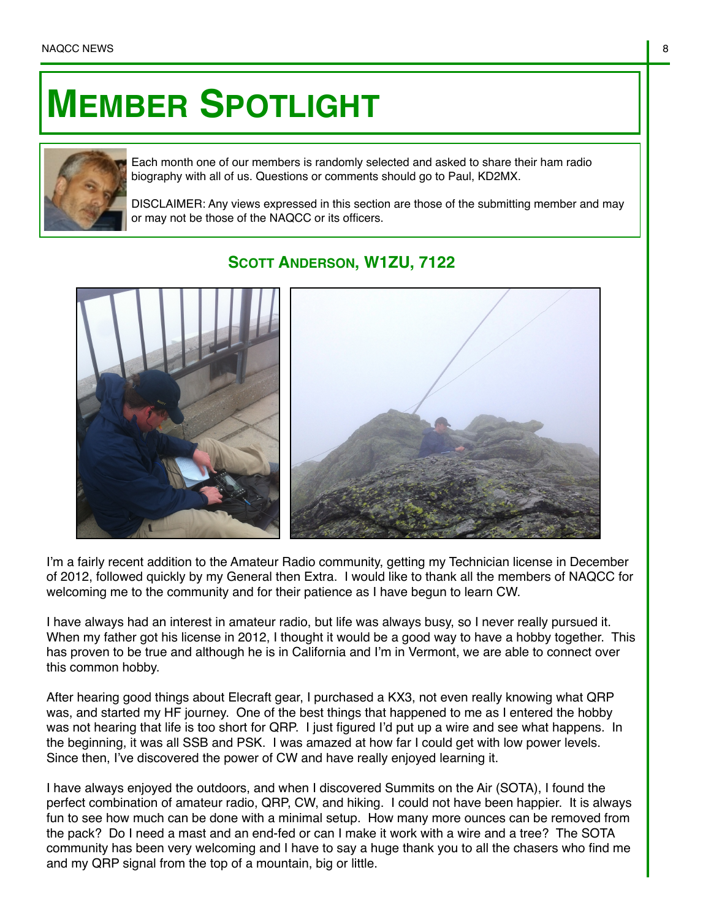## **MEMBER SPOTLIGHT**



Each month one of our members is randomly selected and asked to share their ham radio biography with all of us. Questions or comments should go to Paul, KD2MX.

DISCLAIMER: Any views expressed in this section are those of the submitting member and may or may not be those of the NAQCC or its officers.

**SCOTT ANDERSON, W1ZU, 7122**



I'm a fairly recent addition to the Amateur Radio community, getting my Technician license in December of 2012, followed quickly by my General then Extra. I would like to thank all the members of NAQCC for welcoming me to the community and for their patience as I have begun to learn CW.

I have always had an interest in amateur radio, but life was always busy, so I never really pursued it. When my father got his license in 2012, I thought it would be a good way to have a hobby together. This has proven to be true and although he is in California and I'm in Vermont, we are able to connect over this common hobby.

After hearing good things about Elecraft gear, I purchased a KX3, not even really knowing what QRP was, and started my HF journey. One of the best things that happened to me as I entered the hobby was not hearing that life is too short for QRP. I just figured I'd put up a wire and see what happens. In the beginning, it was all SSB and PSK. I was amazed at how far I could get with low power levels. Since then, I've discovered the power of CW and have really enjoyed learning it.

I have always enjoyed the outdoors, and when I discovered Summits on the Air (SOTA), I found the perfect combination of amateur radio, QRP, CW, and hiking. I could not have been happier. It is always fun to see how much can be done with a minimal setup. How many more ounces can be removed from the pack? Do I need a mast and an end-fed or can I make it work with a wire and a tree? The SOTA community has been very welcoming and I have to say a huge thank you to all the chasers who find me and my QRP signal from the top of a mountain, big or little.